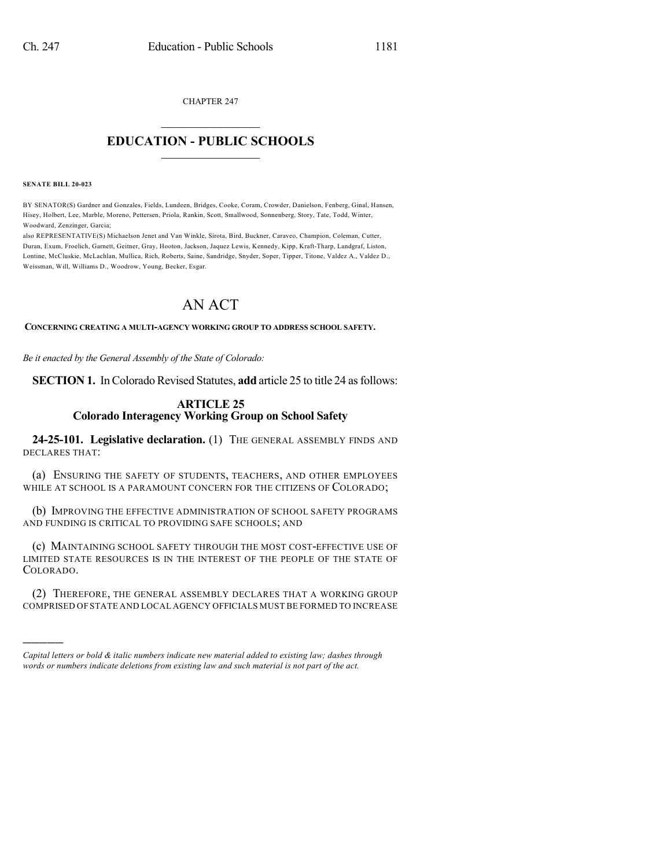CHAPTER 247

## $\overline{\phantom{a}}$  . The set of the set of the set of the set of the set of the set of the set of the set of the set of the set of the set of the set of the set of the set of the set of the set of the set of the set of the set o **EDUCATION - PUBLIC SCHOOLS**  $\_$   $\_$   $\_$   $\_$   $\_$   $\_$   $\_$   $\_$   $\_$

## **SENATE BILL 20-023**

)))))

BY SENATOR(S) Gardner and Gonzales, Fields, Lundeen, Bridges, Cooke, Coram, Crowder, Danielson, Fenberg, Ginal, Hansen, Hisey, Holbert, Lee, Marble, Moreno, Pettersen, Priola, Rankin, Scott, Smallwood, Sonnenberg, Story, Tate, Todd, Winter, Woodward, Zenzinger, Garcia;

also REPRESENTATIVE(S) Michaelson Jenet and Van Winkle, Sirota, Bird, Buckner, Caraveo, Champion, Coleman, Cutter, Duran, Exum, Froelich, Garnett, Geitner, Gray, Hooton, Jackson, Jaquez Lewis, Kennedy, Kipp, Kraft-Tharp, Landgraf, Liston, Lontine, McCluskie, McLachlan, Mullica, Rich, Roberts, Saine, Sandridge, Snyder, Soper, Tipper, Titone, Valdez A., Valdez D., Weissman, Will, Williams D., Woodrow, Young, Becker, Esgar.

## AN ACT

**CONCERNING CREATING A MULTI-AGENCY WORKING GROUP TO ADDRESS SCHOOL SAFETY.**

*Be it enacted by the General Assembly of the State of Colorado:*

**SECTION 1.** In Colorado Revised Statutes, **add** article 25 to title 24 as follows:

## **ARTICLE 25 Colorado Interagency Working Group on School Safety**

**24-25-101. Legislative declaration.** (1) THE GENERAL ASSEMBLY FINDS AND DECLARES THAT:

(a) ENSURING THE SAFETY OF STUDENTS, TEACHERS, AND OTHER EMPLOYEES WHILE AT SCHOOL IS A PARAMOUNT CONCERN FOR THE CITIZENS OF COLORADO;

(b) IMPROVING THE EFFECTIVE ADMINISTRATION OF SCHOOL SAFETY PROGRAMS AND FUNDING IS CRITICAL TO PROVIDING SAFE SCHOOLS; AND

(c) MAINTAINING SCHOOL SAFETY THROUGH THE MOST COST-EFFECTIVE USE OF LIMITED STATE RESOURCES IS IN THE INTEREST OF THE PEOPLE OF THE STATE OF COLORADO.

(2) THEREFORE, THE GENERAL ASSEMBLY DECLARES THAT A WORKING GROUP COMPRISED OF STATE AND LOCAL AGENCY OFFICIALS MUST BE FORMED TO INCREASE

*Capital letters or bold & italic numbers indicate new material added to existing law; dashes through words or numbers indicate deletions from existing law and such material is not part of the act.*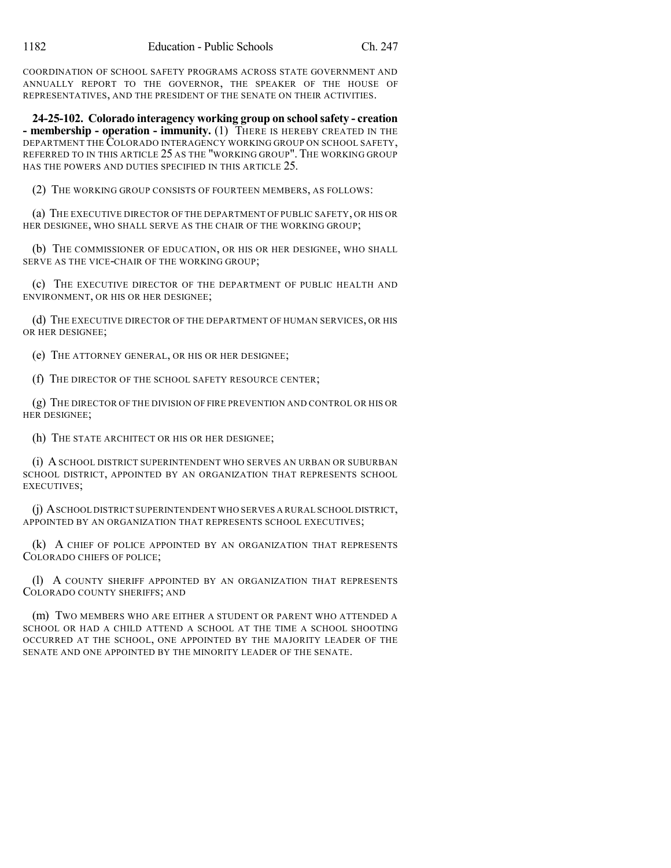COORDINATION OF SCHOOL SAFETY PROGRAMS ACROSS STATE GOVERNMENT AND ANNUALLY REPORT TO THE GOVERNOR, THE SPEAKER OF THE HOUSE OF REPRESENTATIVES, AND THE PRESIDENT OF THE SENATE ON THEIR ACTIVITIES.

**24-25-102. Colorado interagency working group on schoolsafety - creation - membership - operation - immunity.** (1) THERE IS HEREBY CREATED IN THE DEPARTMENT THE COLORADO INTERAGENCY WORKING GROUP ON SCHOOL SAFETY, REFERRED TO IN THIS ARTICLE 25 AS THE "WORKING GROUP". THE WORKING GROUP HAS THE POWERS AND DUTIES SPECIFIED IN THIS ARTICLE 25.

(2) THE WORKING GROUP CONSISTS OF FOURTEEN MEMBERS, AS FOLLOWS:

(a) THE EXECUTIVE DIRECTOR OF THE DEPARTMENT OF PUBLIC SAFETY, OR HIS OR HER DESIGNEE, WHO SHALL SERVE AS THE CHAIR OF THE WORKING GROUP;

(b) THE COMMISSIONER OF EDUCATION, OR HIS OR HER DESIGNEE, WHO SHALL SERVE AS THE VICE-CHAIR OF THE WORKING GROUP;

(c) THE EXECUTIVE DIRECTOR OF THE DEPARTMENT OF PUBLIC HEALTH AND ENVIRONMENT, OR HIS OR HER DESIGNEE;

(d) THE EXECUTIVE DIRECTOR OF THE DEPARTMENT OF HUMAN SERVICES, OR HIS OR HER DESIGNEE;

(e) THE ATTORNEY GENERAL, OR HIS OR HER DESIGNEE;

(f) THE DIRECTOR OF THE SCHOOL SAFETY RESOURCE CENTER;

(g) THE DIRECTOR OF THE DIVISION OF FIRE PREVENTION AND CONTROL OR HIS OR HER DESIGNEE;

(h) THE STATE ARCHITECT OR HIS OR HER DESIGNEE;

(i) ASCHOOL DISTRICT SUPERINTENDENT WHO SERVES AN URBAN OR SUBURBAN SCHOOL DISTRICT, APPOINTED BY AN ORGANIZATION THAT REPRESENTS SCHOOL EXECUTIVES;

(j) ASCHOOL DISTRICT SUPERINTENDENT WHO SERVES A RURAL SCHOOL DISTRICT, APPOINTED BY AN ORGANIZATION THAT REPRESENTS SCHOOL EXECUTIVES;

(k) A CHIEF OF POLICE APPOINTED BY AN ORGANIZATION THAT REPRESENTS COLORADO CHIEFS OF POLICE;

(l) A COUNTY SHERIFF APPOINTED BY AN ORGANIZATION THAT REPRESENTS COLORADO COUNTY SHERIFFS; AND

(m) TWO MEMBERS WHO ARE EITHER A STUDENT OR PARENT WHO ATTENDED A SCHOOL OR HAD A CHILD ATTEND A SCHOOL AT THE TIME A SCHOOL SHOOTING OCCURRED AT THE SCHOOL, ONE APPOINTED BY THE MAJORITY LEADER OF THE SENATE AND ONE APPOINTED BY THE MINORITY LEADER OF THE SENATE.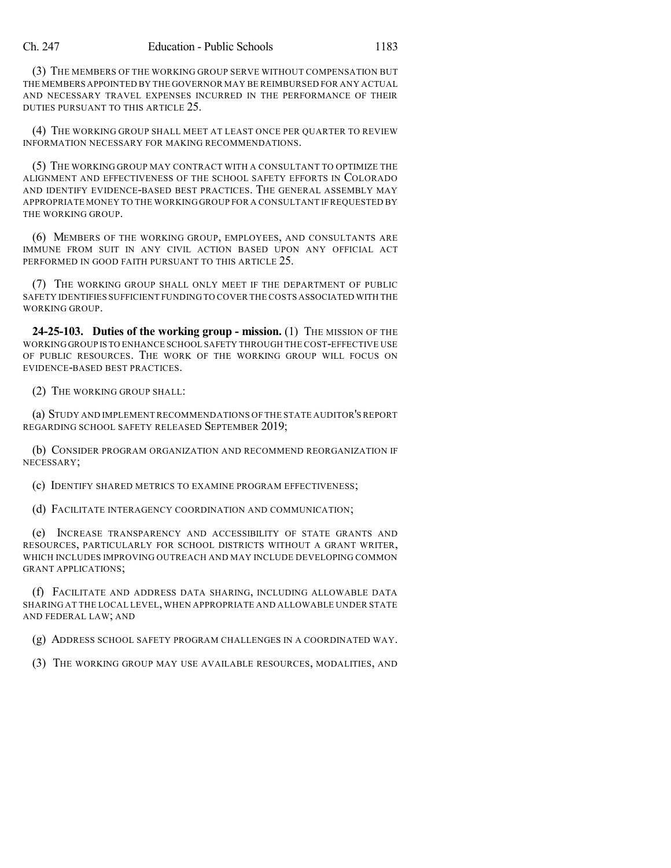(3) THE MEMBERS OF THE WORKING GROUP SERVE WITHOUT COMPENSATION BUT THE MEMBERS APPOINTED BY THE GOVERNOR MAY BE REIMBURSED FOR ANY ACTUAL AND NECESSARY TRAVEL EXPENSES INCURRED IN THE PERFORMANCE OF THEIR DUTIES PURSUANT TO THIS ARTICLE 25.

(4) THE WORKING GROUP SHALL MEET AT LEAST ONCE PER QUARTER TO REVIEW INFORMATION NECESSARY FOR MAKING RECOMMENDATIONS.

(5) THE WORKING GROUP MAY CONTRACT WITH A CONSULTANT TO OPTIMIZE THE ALIGNMENT AND EFFECTIVENESS OF THE SCHOOL SAFETY EFFORTS IN COLORADO AND IDENTIFY EVIDENCE-BASED BEST PRACTICES. THE GENERAL ASSEMBLY MAY APPROPRIATE MONEY TO THE WORKING GROUP FOR A CONSULTANT IF REQUESTED BY THE WORKING GROUP.

(6) MEMBERS OF THE WORKING GROUP, EMPLOYEES, AND CONSULTANTS ARE IMMUNE FROM SUIT IN ANY CIVIL ACTION BASED UPON ANY OFFICIAL ACT PERFORMED IN GOOD FAITH PURSUANT TO THIS ARTICLE 25.

(7) THE WORKING GROUP SHALL ONLY MEET IF THE DEPARTMENT OF PUBLIC SAFETY IDENTIFIES SUFFICIENT FUNDING TO COVER THE COSTS ASSOCIATED WITH THE WORKING GROUP.

**24-25-103. Duties of the working group - mission.** (1) THE MISSION OF THE WORKING GROUP IS TO ENHANCE SCHOOL SAFETY THROUGH THE COST-EFFECTIVE USE OF PUBLIC RESOURCES. THE WORK OF THE WORKING GROUP WILL FOCUS ON EVIDENCE-BASED BEST PRACTICES.

(2) THE WORKING GROUP SHALL:

(a) STUDY AND IMPLEMENT RECOMMENDATIONS OF THE STATE AUDITOR'S REPORT REGARDING SCHOOL SAFETY RELEASED SEPTEMBER 2019;

(b) CONSIDER PROGRAM ORGANIZATION AND RECOMMEND REORGANIZATION IF NECESSARY;

(c) IDENTIFY SHARED METRICS TO EXAMINE PROGRAM EFFECTIVENESS;

(d) FACILITATE INTERAGENCY COORDINATION AND COMMUNICATION;

(e) INCREASE TRANSPARENCY AND ACCESSIBILITY OF STATE GRANTS AND RESOURCES, PARTICULARLY FOR SCHOOL DISTRICTS WITHOUT A GRANT WRITER, WHICH INCLUDES IMPROVING OUTREACH AND MAY INCLUDE DEVELOPING COMMON GRANT APPLICATIONS;

(f) FACILITATE AND ADDRESS DATA SHARING, INCLUDING ALLOWABLE DATA SHARING AT THE LOCAL LEVEL, WHEN APPROPRIATE AND ALLOWABLE UNDER STATE AND FEDERAL LAW; AND

(g) ADDRESS SCHOOL SAFETY PROGRAM CHALLENGES IN A COORDINATED WAY.

(3) THE WORKING GROUP MAY USE AVAILABLE RESOURCES, MODALITIES, AND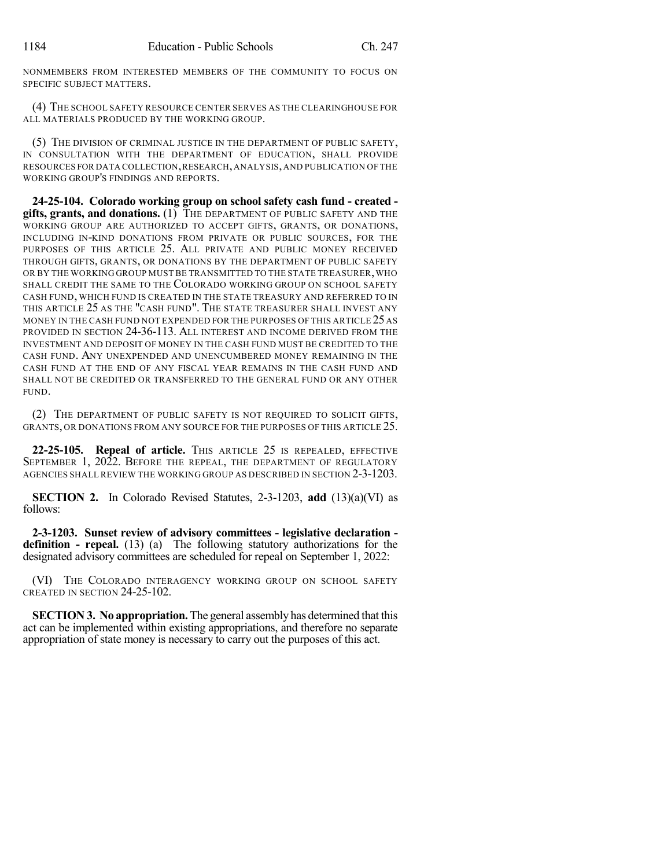NONMEMBERS FROM INTERESTED MEMBERS OF THE COMMUNITY TO FOCUS ON SPECIFIC SUBJECT MATTERS.

(4) THE SCHOOL SAFETY RESOURCE CENTER SERVES AS THE CLEARINGHOUSE FOR ALL MATERIALS PRODUCED BY THE WORKING GROUP.

(5) THE DIVISION OF CRIMINAL JUSTICE IN THE DEPARTMENT OF PUBLIC SAFETY, IN CONSULTATION WITH THE DEPARTMENT OF EDUCATION, SHALL PROVIDE RESOURCES FOR DATA COLLECTION,RESEARCH,ANALYSIS,AND PUBLICATION OF THE WORKING GROUP'S FINDINGS AND REPORTS.

**24-25-104. Colorado working group on school safety cash fund - created gifts, grants, and donations.** (1) THE DEPARTMENT OF PUBLIC SAFETY AND THE WORKING GROUP ARE AUTHORIZED TO ACCEPT GIFTS, GRANTS, OR DONATIONS, INCLUDING IN-KIND DONATIONS FROM PRIVATE OR PUBLIC SOURCES, FOR THE PURPOSES OF THIS ARTICLE 25. ALL PRIVATE AND PUBLIC MONEY RECEIVED THROUGH GIFTS, GRANTS, OR DONATIONS BY THE DEPARTMENT OF PUBLIC SAFETY OR BY THE WORKING GROUP MUST BE TRANSMITTED TO THE STATE TREASURER, WHO SHALL CREDIT THE SAME TO THE COLORADO WORKING GROUP ON SCHOOL SAFETY CASH FUND, WHICH FUND IS CREATED IN THE STATE TREASURY AND REFERRED TO IN THIS ARTICLE 25 AS THE "CASH FUND". THE STATE TREASURER SHALL INVEST ANY MONEY IN THE CASH FUND NOT EXPENDED FOR THE PURPOSES OF THIS ARTICLE 25 AS PROVIDED IN SECTION 24-36-113. ALL INTEREST AND INCOME DERIVED FROM THE INVESTMENT AND DEPOSIT OF MONEY IN THE CASH FUND MUST BE CREDITED TO THE CASH FUND. ANY UNEXPENDED AND UNENCUMBERED MONEY REMAINING IN THE CASH FUND AT THE END OF ANY FISCAL YEAR REMAINS IN THE CASH FUND AND SHALL NOT BE CREDITED OR TRANSFERRED TO THE GENERAL FUND OR ANY OTHER FUND.

(2) THE DEPARTMENT OF PUBLIC SAFETY IS NOT REQUIRED TO SOLICIT GIFTS, GRANTS, OR DONATIONS FROM ANY SOURCE FOR THE PURPOSES OF THIS ARTICLE 25.

**22-25-105. Repeal of article.** THIS ARTICLE 25 IS REPEALED, EFFECTIVE SEPTEMBER 1, 2022. BEFORE THE REPEAL, THE DEPARTMENT OF REGULATORY AGENCIES SHALL REVIEW THE WORKING GROUP AS DESCRIBED IN SECTION 2-3-1203.

**SECTION 2.** In Colorado Revised Statutes, 2-3-1203, **add** (13)(a)(VI) as follows:

**2-3-1203. Sunset review of advisory committees - legislative declaration definition - repeal.** (13) (a) The following statutory authorizations for the designated advisory committees are scheduled for repeal on September 1, 2022:

(VI) THE COLORADO INTERAGENCY WORKING GROUP ON SCHOOL SAFETY CREATED IN SECTION 24-25-102.

**SECTION 3. No appropriation.** The general assembly has determined that this act can be implemented within existing appropriations, and therefore no separate appropriation of state money is necessary to carry out the purposes of this act.